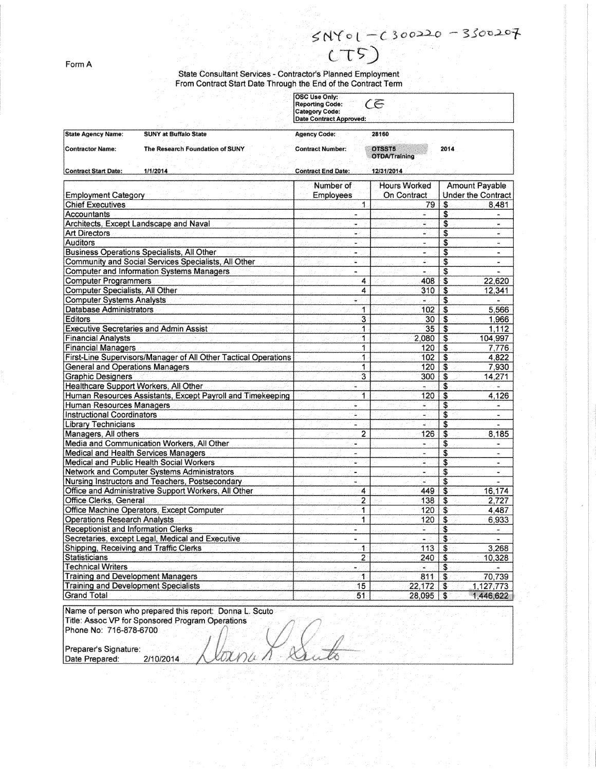FormA

~N,(o l-c *30o~ - 3So-o.2-°1--*  $CT5$ 

State Consultant Services - Contractor's Planned Employme From Contract Start Date Through the End of the Contract Term

|                                                                 |                                 | <b>OSC Use Only:</b><br><b>Reporting Code:</b><br><b>Category Code:</b><br>Date Contract Approved: | CĒ                                 |                                                    |                |
|-----------------------------------------------------------------|---------------------------------|----------------------------------------------------------------------------------------------------|------------------------------------|----------------------------------------------------|----------------|
| <b>State Agency Name:</b>                                       | <b>SUNY at Buffalo State</b>    | <b>Agency Code:</b>                                                                                | 28160                              |                                                    |                |
| <b>Contractor Name:</b>                                         | The Research Foundation of SUNY | <b>Contract Number:</b>                                                                            | OTSST5<br><b>OTDA/Training</b>     | 2014                                               |                |
| <b>Contract Start Date:</b>                                     | 1/1/2014                        | <b>Contract End Date:</b>                                                                          | 12/31/2014                         |                                                    |                |
| <b>Employment Category</b>                                      |                                 | Number of<br><b>Employees</b>                                                                      | <b>Hours Worked</b><br>On Contract | <b>Amount Payable</b><br><b>Under the Contract</b> |                |
| <b>Chief Executives</b>                                         |                                 | 1.                                                                                                 | 79                                 | \$                                                 | 8,481          |
| Accountants                                                     |                                 | $\blacksquare$                                                                                     |                                    | \$                                                 |                |
| Architects, Except Landscape and Naval                          |                                 | чa                                                                                                 | ÷                                  | \$                                                 | ù.             |
| <b>Art Directors</b>                                            |                                 | $\frac{1}{2}$                                                                                      | ۵×.                                | S                                                  | m.             |
| <b>Auditors</b>                                                 |                                 | ٠                                                                                                  | ٠                                  | S                                                  | ٠              |
| Business Operations Specialists, All Other                      |                                 | i.                                                                                                 |                                    | \$                                                 | $\blacksquare$ |
| Community and Social Services Specialists, All Other            |                                 | ÷.                                                                                                 | ÷.                                 | S                                                  | $\blacksquare$ |
| <b>Computer and Information Systems Managers</b>                |                                 |                                                                                                    | ÷.                                 | \$                                                 |                |
| <b>Computer Programmers</b>                                     |                                 | 4                                                                                                  | 408                                | \$                                                 | 22,620         |
| Computer Specialists, All Other                                 |                                 | 4                                                                                                  | 310                                | S                                                  | 12,341         |
| <b>Computer Systems Analysts</b>                                |                                 | ŵ                                                                                                  | w.                                 | \$                                                 | ÷.             |
| <b>Database Administrators</b>                                  |                                 | 1                                                                                                  | 102                                | \$                                                 | 5,566          |
| <b>Editors</b>                                                  |                                 | 3                                                                                                  | 30                                 | \$                                                 | 1,966          |
| <b>Executive Secretaries and Admin Assist</b>                   |                                 | 1                                                                                                  | 35                                 | <b>S</b>                                           | 1.112          |
| <b>Financial Analysts</b>                                       |                                 | 1                                                                                                  | 2.080                              | <b>S</b>                                           | 104,997        |
| <b>Financial Managers</b>                                       |                                 | 1                                                                                                  | 120                                | \$                                                 | 7.776          |
| First-Line Supervisors/Manager of All Other Tactical Operations |                                 | 1                                                                                                  | 102                                | \$                                                 | 4,822          |
| <b>General and Operations Managers</b>                          |                                 | 1                                                                                                  | 120                                | S                                                  | 7,930          |
| <b>Graphic Designers</b>                                        |                                 | 3                                                                                                  | 300                                | \$                                                 | 14,271         |
| Healthcare Support Workers, All Other                           |                                 | ù.                                                                                                 |                                    | \$                                                 |                |
| Human Resources Assistants, Except Payroll and Timekeeping      |                                 | 1                                                                                                  | 120                                | .\$                                                | 4,126          |
| Human Resources Managers                                        |                                 | ÷                                                                                                  | €                                  | \$                                                 | m.             |
| <b>Instructional Coordinators</b>                               |                                 | ÷.                                                                                                 | $\omega_{\rm c}$                   | Ś                                                  | ÷              |
| <b>Library Technicians</b>                                      |                                 | ÷                                                                                                  | a.                                 | \$                                                 |                |
| Managers, All others                                            |                                 | 2                                                                                                  | 126                                | \$                                                 | 8.185          |
| Media and Communication Workers, All Other                      |                                 | $\tilde{\phantom{a}}$                                                                              | $\ddot{\phantom{a}}$               | \$                                                 |                |
| Medical and Health Services Managers                            |                                 | ×,                                                                                                 |                                    | \$                                                 |                |
| Medical and Public Health Social Workers                        |                                 | $\omega$                                                                                           | G.                                 | \$                                                 | $\blacksquare$ |
| Network and Computer Systems Administrators                     |                                 | $\blacksquare$                                                                                     | $\sim$                             | \$                                                 | $\bullet$      |
| Nursing Instructors and Teachers, Postsecondary                 |                                 | ÷                                                                                                  | e.                                 | S                                                  |                |
| Office and Administrative Support Workers, All Other            |                                 | 4                                                                                                  | 449                                | \$                                                 | 16,174         |
| Office Clerks, General                                          |                                 | $\overline{2}$                                                                                     | 138                                | \$                                                 | 2,727          |
| Office Machine Operators, Except Computer                       |                                 | 1                                                                                                  | 120                                | \$                                                 | 4,487          |
| <b>Operations Research Analysts</b>                             |                                 | 1                                                                                                  | 120                                | \$                                                 | 6,933          |
| Receptionist and Information Clerks                             |                                 | ۰                                                                                                  | ÷.                                 | \$                                                 |                |
| Secretaries, except Legal, Medical and Executive                |                                 | ۰                                                                                                  | w,                                 | \$                                                 |                |
| Shipping, Receiving and Traffic Clerks                          |                                 | 4.                                                                                                 | 113                                | \$                                                 | 3,268          |
| Statisticians                                                   |                                 | $\overline{2}$                                                                                     | 240                                | \$                                                 | 10,328         |
| <b>Technical Writers</b>                                        |                                 | ÷                                                                                                  |                                    | \$                                                 |                |
| <b>Training and Development Managers</b>                        |                                 | 1                                                                                                  | 811                                | $\mathbf{3}$                                       | 70,739         |
| <b>Training and Development Specialists</b>                     |                                 | 15                                                                                                 | 22,172                             | -\$                                                | 1,127,773      |
| <b>Grand Total</b>                                              |                                 | 51                                                                                                 | 28,095                             | \$                                                 | 1,446,622      |

X

Name of person who prepared this report: Donna L. Scuto Phone No: 716-878-6700

Title: Assoc VP for Sponsored Program Operations Date Prepared: 2/10/2014 1 0.Preparer's Signature: